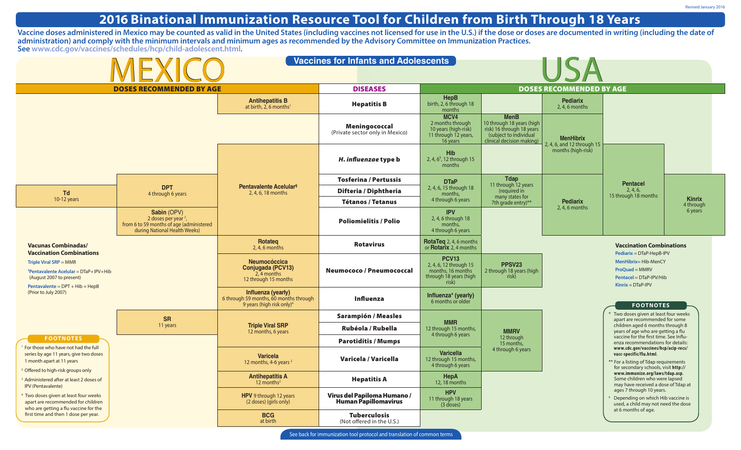## **2016 Binational Immunization Resource Tool for Children from Birth Through 18 Years**

**Vaccine doses administered in Mexico may be counted as valid in the United States (including vaccines not licensed for use in the U.S.) if the dose or doses are documented in writing (including the date of administration) and comply with the minimum intervals and minimum ages as recommended by the Advisory Committee on Immunization Practices. See [www.cdc.gov/vaccines/schedules/hcp/child-adolescent.html.](www.cdc.gov/vaccines/schedules/hcp/child-adolescent.html)**

| <b>Vaccines for Infants and Adolescents</b><br>MEXICO                                                                                                                      |                                                                                                                             |                                                                                                       |                                                     |                                                                                                |                                                                                                                              |                                                                                                                                                                                                                                  |                                                                                                                                                                                                                                                            |                            |
|----------------------------------------------------------------------------------------------------------------------------------------------------------------------------|-----------------------------------------------------------------------------------------------------------------------------|-------------------------------------------------------------------------------------------------------|-----------------------------------------------------|------------------------------------------------------------------------------------------------|------------------------------------------------------------------------------------------------------------------------------|----------------------------------------------------------------------------------------------------------------------------------------------------------------------------------------------------------------------------------|------------------------------------------------------------------------------------------------------------------------------------------------------------------------------------------------------------------------------------------------------------|----------------------------|
| <b>DOSES RECOMMENDED BY AGE</b>                                                                                                                                            |                                                                                                                             |                                                                                                       | <b>DISEASES</b>                                     |                                                                                                | <b>DOSES RECOMMENDED BY AGE</b>                                                                                              |                                                                                                                                                                                                                                  |                                                                                                                                                                                                                                                            |                            |
|                                                                                                                                                                            |                                                                                                                             | <b>Antihepatitis B</b><br>at birth, $2, 6$ months <sup>1</sup>                                        | <b>Hepatitis B</b>                                  | HepB<br>birth, 2, 6 through 18<br>months                                                       |                                                                                                                              | <b>Pediarix</b><br>$2, 4, 6$ months                                                                                                                                                                                              |                                                                                                                                                                                                                                                            |                            |
|                                                                                                                                                                            |                                                                                                                             |                                                                                                       | Meningococcal<br>(Private sector only in Mexico)    | MCV4<br>2 months through<br>10 years (high-risk)<br>11 through 12 years,<br>16 years           | <b>MenB</b><br>10 through 18 years (high<br>risk) 16 through 18 years<br>(subject to individual<br>clinical decision making) | <b>MenHibrix</b><br>2, 4, 6, and 12 through 15                                                                                                                                                                                   |                                                                                                                                                                                                                                                            |                            |
|                                                                                                                                                                            |                                                                                                                             |                                                                                                       | H. influenzae type b                                | <b>Hib</b><br>2, 4, $6^{\circ}$ , 12 through 15<br>months                                      |                                                                                                                              | months (high-risk)                                                                                                                                                                                                               |                                                                                                                                                                                                                                                            |                            |
| Td<br>10-12 years                                                                                                                                                          | <b>DPT</b><br>4 through 6 years                                                                                             | <b>Pentavalente Acelular</b> <sup>§</sup><br>2, 4, 6, 18 months                                       | <b>Tosferina / Pertussis</b>                        | <b>DTaP</b><br>2, 4, 6, 15 through 18<br>months.                                               | <b>Tdap</b><br>11 through 12 years<br>(required in<br>many states for<br>7th grade entry)**                                  | <b>Pediarix</b><br>$2, 4, 6$ months                                                                                                                                                                                              | <b>Pentacel</b><br>2, 4, 6,<br>15 through 18 months                                                                                                                                                                                                        | <b>Kinrix</b><br>4 through |
|                                                                                                                                                                            |                                                                                                                             |                                                                                                       | Difteria / Diphtheria                               |                                                                                                |                                                                                                                              |                                                                                                                                                                                                                                  |                                                                                                                                                                                                                                                            |                            |
|                                                                                                                                                                            |                                                                                                                             |                                                                                                       | <b>Tétanos / Tetanus</b>                            | 4 through 6 years                                                                              |                                                                                                                              |                                                                                                                                                                                                                                  |                                                                                                                                                                                                                                                            |                            |
|                                                                                                                                                                            | Sabin (OPV)<br>2 doses per year <sup>3</sup> ,<br>from 6 to 59 months of age (administered<br>during National Health Weeks) |                                                                                                       | <b>Poliomielitis / Polio</b>                        | <b>IPV</b><br>2, 4, 6 through 18<br>months,<br>4 through 6 years                               |                                                                                                                              |                                                                                                                                                                                                                                  |                                                                                                                                                                                                                                                            | 6 years                    |
| <b>Vacunas Combinadas/</b><br><b>Vaccination Combinations</b><br>Triple Viral SRP = MMR<br><sup>§</sup> Pentavalente Acelular = $DTaP+IPV+Hib$<br>(August 2007 to present) |                                                                                                                             | Rotateg<br>$2, 4, 6$ months                                                                           | <b>Rotavirus</b>                                    | RotaTeq 2, 4, 6 months<br>or <b>Rotarix</b> 2, 4 months                                        |                                                                                                                              |                                                                                                                                                                                                                                  | <b>Vaccination Combinations</b><br>Pediarix = DTaP-HepB-IPV                                                                                                                                                                                                |                            |
|                                                                                                                                                                            |                                                                                                                             | <b>Neumocóccica</b><br>Conjugada (PCV13)<br>2, 4 months<br>12 through 15 months                       | Neumococo / Pneumococcal                            | <b>PCV13</b><br>2, 4, 6, 12 through 15<br>months, 16 months<br>through 18 years (high<br>risk) | PPSV <sub>23</sub><br>2 through 18 years (high<br>risk)                                                                      | MenHibrix= Hib-MenCY<br>ProQuad = MMRV<br>Pentacel = DTaP-IPV/Hib<br>$Kinrix = DTaP-IPV$                                                                                                                                         |                                                                                                                                                                                                                                                            |                            |
| Pentavalente = $DPT + Hib + HepB$<br>(Prior to July 2007)                                                                                                                  |                                                                                                                             | Influenza (yearly)<br>6 through 59 months, 60 months through<br>9 years (high risk only) <sup>4</sup> | Influenza                                           | Influenza* (yearly)<br>6 months or older                                                       |                                                                                                                              |                                                                                                                                                                                                                                  | <b>FOOTNOTES</b>                                                                                                                                                                                                                                           |                            |
|                                                                                                                                                                            | <b>SR</b><br>11 years                                                                                                       | <b>Triple Viral SRP</b><br>12 months, 6 years                                                         | <b>Sarampión / Measles</b>                          |                                                                                                |                                                                                                                              | * Two doses given at least four weeks<br>apart are recommended for some<br>children aged 6 months through 8<br>years of age who are getting a flu<br>vaccine for the first time. See Influ-<br>enza recommendations for details: |                                                                                                                                                                                                                                                            |                            |
|                                                                                                                                                                            |                                                                                                                             |                                                                                                       | Rubéola / Rubella                                   | <b>MMR</b><br>12 through 15 months,                                                            | <b>MMRV</b><br>12 through<br>15 months,                                                                                      |                                                                                                                                                                                                                                  |                                                                                                                                                                                                                                                            |                            |
| <b>FOOTNOTES</b>                                                                                                                                                           |                                                                                                                             |                                                                                                       | <b>Parotiditis / Mumps</b>                          | 4 through 6 years                                                                              |                                                                                                                              |                                                                                                                                                                                                                                  |                                                                                                                                                                                                                                                            |                            |
| For those who have not had the full<br>series by age 11 years, give two doses<br>1 month apart at 11 years<br>Offered to high-risk groups only                             |                                                                                                                             | <b>Varicela</b><br>12 months, 4-6 years <sup>2</sup>                                                  | Varicela / Varicella                                | <b>Varicella</b><br>12 through 15 months,<br>4 through 6 years                                 | 4 through 6 years                                                                                                            |                                                                                                                                                                                                                                  | www.cdc.gov/vaccines/hcp/acip-recs/<br>vacc-specific/flu.html.<br>** For a listing of Tdap requirements<br>for secondary schools, visit http://<br>www.immunize.org/laws/tdap.asp.<br>Some children who were lapsed<br>may have received a dose of Tdap at |                            |
| Administered after at least 2 doses of<br><b>IPV (Pentavalente)</b>                                                                                                        |                                                                                                                             | <b>Antihepatitis A</b><br>12 months $2$                                                               | <b>Hepatitis A</b>                                  | <b>HepA</b><br>12, 18 months                                                                   |                                                                                                                              |                                                                                                                                                                                                                                  |                                                                                                                                                                                                                                                            |                            |
| Two doses given at least four weeks<br>apart are recommended for children<br>who are getting a flu vaccine for the                                                         |                                                                                                                             | HPV 9 through 12 years<br>(2 doses) (girls only)                                                      | Virus del Papiloma Humano /<br>Human Papillomavirus | <b>HPV</b><br>11 through 18 years<br>$(3$ doses)                                               |                                                                                                                              |                                                                                                                                                                                                                                  | ages 7 through 10 years.<br>Depending on which Hib vaccine is<br>used, a child may not need the dose<br>at 6 months of age.                                                                                                                                |                            |
| first time and then 1 dose per year.                                                                                                                                       |                                                                                                                             | <b>BCG</b><br>at birth                                                                                | <b>Tuberculosis</b><br>(Not offered in the U.S.)    |                                                                                                |                                                                                                                              |                                                                                                                                                                                                                                  |                                                                                                                                                                                                                                                            |                            |